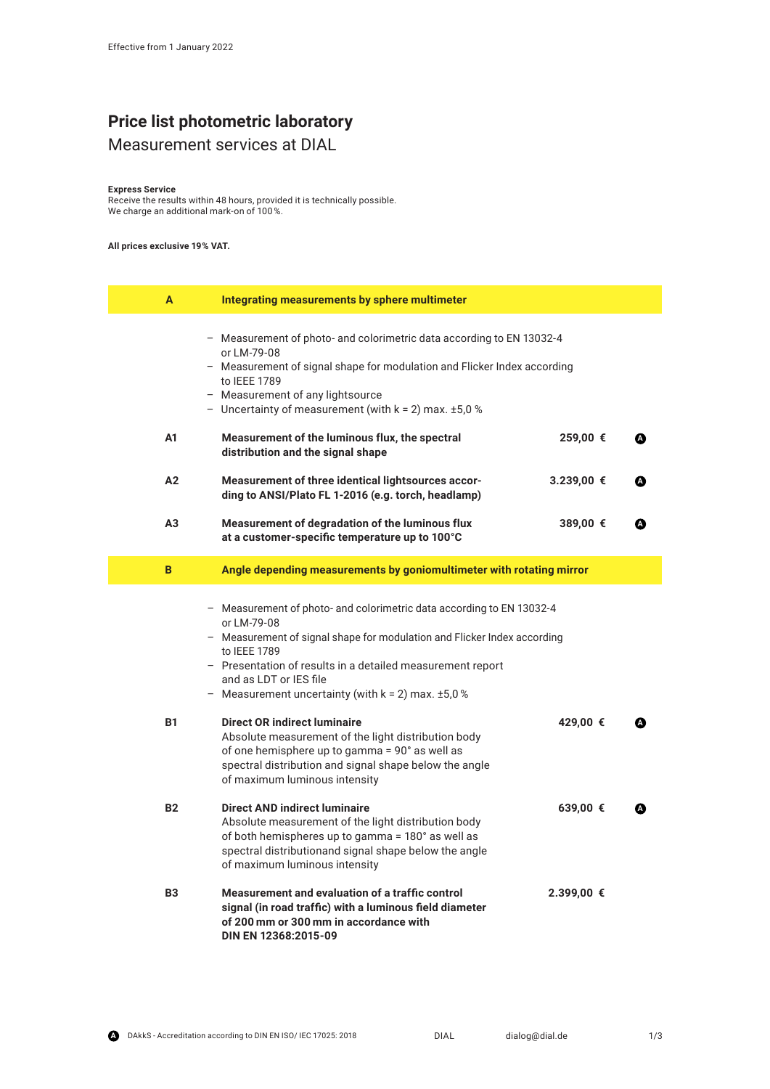# **Price list photometric laboratory**

## Measurement services at DIAL

#### **Express Service**

Receive the results within 48 hours, provided it is technically possible. We charge an additional mark-on of 100 %.

#### **All prices exclusive 19 % VAT.**

| A              | Integrating measurements by sphere multimeter                                                                                                                                                                                                                                                                                          |            |   |
|----------------|----------------------------------------------------------------------------------------------------------------------------------------------------------------------------------------------------------------------------------------------------------------------------------------------------------------------------------------|------------|---|
|                | - Measurement of photo- and colorimetric data according to EN 13032-4<br>or LM-79-08<br>- Measurement of signal shape for modulation and Flicker Index according<br>to IEEE 1789<br>- Measurement of any lightsource<br>- Uncertainty of measurement (with $k = 2$ ) max. $\pm 5.0$ %                                                  |            |   |
| A1             | Measurement of the luminous flux, the spectral<br>distribution and the signal shape                                                                                                                                                                                                                                                    | 259,00 €   | ☎ |
| A2             | Measurement of three identical lightsources accor-<br>ding to ANSI/Plato FL 1-2016 (e.g. torch, headlamp)                                                                                                                                                                                                                              | 3.239,00 € |   |
| A <sub>3</sub> | Measurement of degradation of the luminous flux<br>at a customer-specific temperature up to 100°C                                                                                                                                                                                                                                      | 389,00 €   | ☎ |
| B              | Angle depending measurements by goniomultimeter with rotating mirror                                                                                                                                                                                                                                                                   |            |   |
|                | - Measurement of photo- and colorimetric data according to EN 13032-4<br>or LM-79-08<br>- Measurement of signal shape for modulation and Flicker Index according<br>to IEEE 1789<br>- Presentation of results in a detailed measurement report<br>and as LDT or IES file<br>- Measurement uncertainty (with $k = 2$ ) max. $\pm 5.0$ % |            |   |
| <b>B1</b>      | <b>Direct OR indirect luminaire</b><br>Absolute measurement of the light distribution body<br>of one hemisphere up to gamma = 90° as well as<br>spectral distribution and signal shape below the angle<br>of maximum luminous intensity                                                                                                | 429,00 €   |   |
| <b>B2</b>      | <b>Direct AND indirect luminaire</b><br>Absolute measurement of the light distribution body<br>of both hemispheres up to gamma = 180° as well as<br>spectral distributionand signal shape below the angle<br>of maximum luminous intensity                                                                                             | 639,00 €   | Δ |
| B <sub>3</sub> | Measurement and evaluation of a traffic control<br>signal (in road traffic) with a luminous field diameter<br>of 200 mm or 300 mm in accordance with<br>DIN EN 12368:2015-09                                                                                                                                                           | 2.399,00 € |   |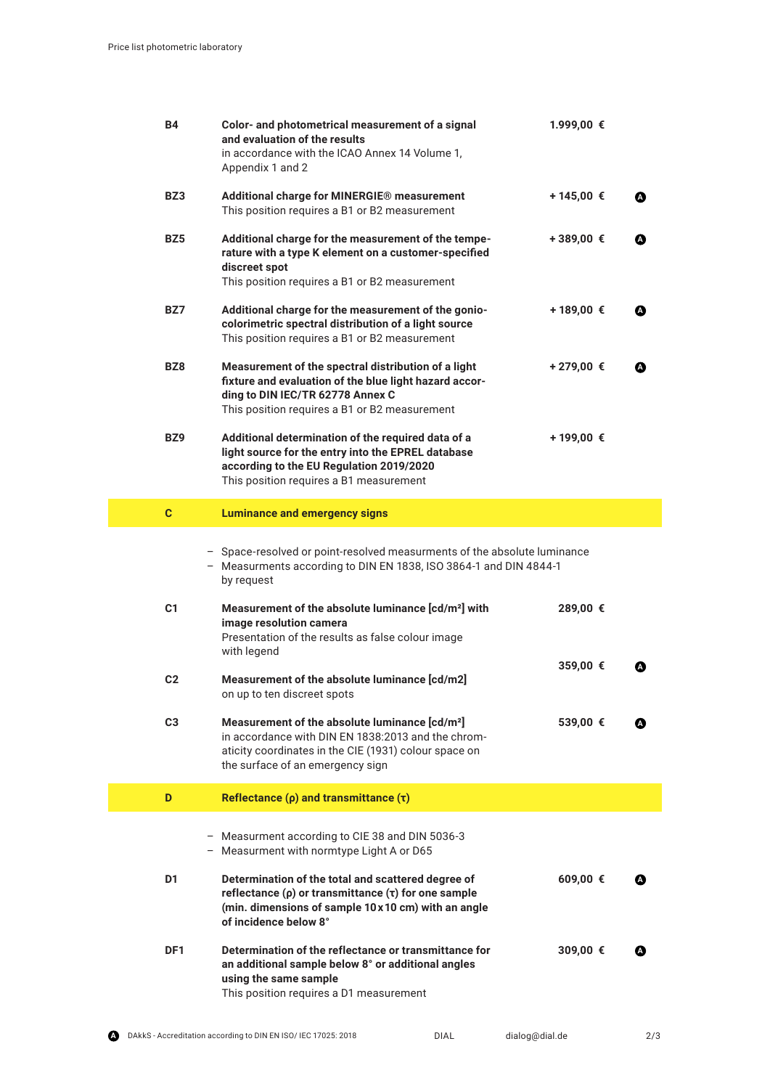| <b>B4</b>       | Color- and photometrical measurement of a signal<br>and evaluation of the results<br>in accordance with the ICAO Annex 14 Volume 1,<br>Appendix 1 and 2                                                       | 1.999,00 € |   |
|-----------------|---------------------------------------------------------------------------------------------------------------------------------------------------------------------------------------------------------------|------------|---|
| BZ3             | Additional charge for MINERGIE® measurement<br>This position requires a B1 or B2 measurement                                                                                                                  | +145,00 €  | ☎ |
| BZ5             | Additional charge for the measurement of the tempe-<br>rature with a type K element on a customer-specified<br>discreet spot<br>This position requires a B1 or B2 measurement                                 | +389,00 €  |   |
| BZ7             | Additional charge for the measurement of the gonio-<br>colorimetric spectral distribution of a light source<br>This position requires a B1 or B2 measurement                                                  | +189,00 €  | A |
| BZ8             | Measurement of the spectral distribution of a light<br>fixture and evaluation of the blue light hazard accor-<br>ding to DIN IEC/TR 62778 Annex C<br>This position requires a B1 or B2 measurement            | +279,00 €  | A |
| BZ9             | Additional determination of the required data of a<br>light source for the entry into the EPREL database<br>according to the EU Regulation 2019/2020<br>This position requires a B1 measurement               | +199,00 €  |   |
| $\mathbf{C}$    | <b>Luminance and emergency signs</b>                                                                                                                                                                          |            |   |
|                 | - Space-resolved or point-resolved measurments of the absolute luminance<br>- Measurments according to DIN EN 1838, ISO 3864-1 and DIN 4844-1<br>by request                                                   |            |   |
| C <sub>1</sub>  | Measurement of the absolute luminance [cd/m <sup>2</sup> ] with<br>image resolution camera<br>Presentation of the results as false colour image<br>with legend                                                | 289,00 €   |   |
| C <sub>2</sub>  | Measurement of the absolute luminance [cd/m2]<br>on up to ten discreet spots                                                                                                                                  | 359,00 €   |   |
| C <sub>3</sub>  | Measurement of the absolute luminance [cd/m <sup>2</sup> ]<br>in accordance with DIN EN 1838:2013 and the chrom-<br>aticity coordinates in the CIE (1931) colour space on<br>the surface of an emergency sign | 539,00 €   |   |
| D               | Reflectance $(\rho)$ and transmittance $(\tau)$                                                                                                                                                               |            |   |
|                 | - Measurment according to CIE 38 and DIN 5036-3<br>- Measurment with normtype Light A or D65                                                                                                                  |            |   |
| D1              | Determination of the total and scattered degree of<br>reflectance ( $\rho$ ) or transmittance ( $\tau$ ) for one sample<br>(min. dimensions of sample 10 x 10 cm) with an angle<br>of incidence below 8°      | 609,00 €   |   |
| DF <sub>1</sub> | Determination of the reflectance or transmittance for<br>an additional sample below 8° or additional angles<br>using the same sample<br>This position requires a D1 measurement                               | 309,00 €   |   |

2/3